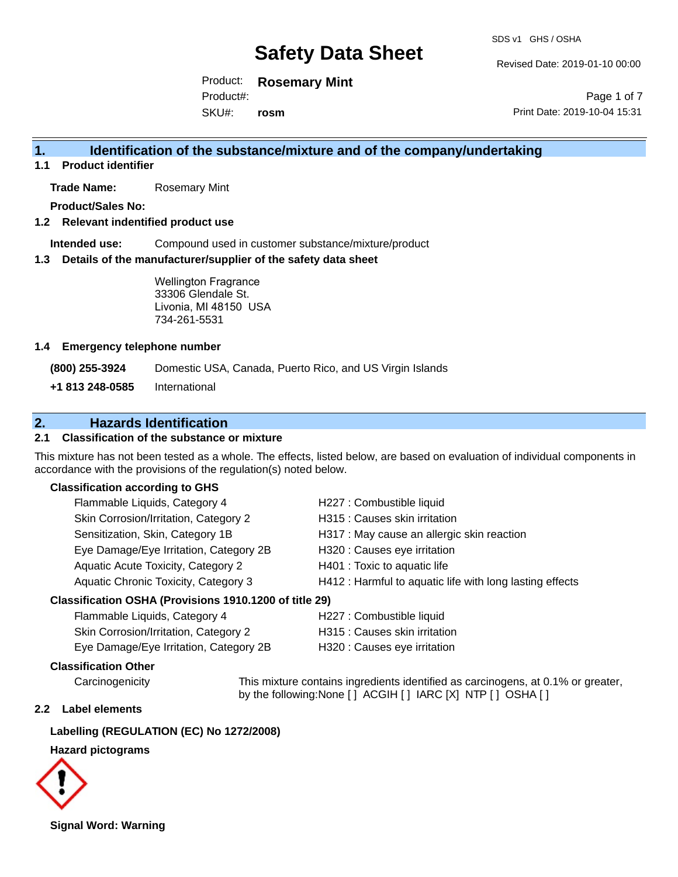Revised Date: 2019-01-10 00:00

Product: **Rosemary Mint** Product#:

SKU#: **rosm**

Page 1 of 7 Print Date: 2019-10-04 15:31

### **1. Identification of the substance/mixture and of the company/undertaking**

**1.1 Product identifier**

**Trade Name:** Rosemary Mint

**Product/Sales No:**

#### **1.2 Relevant indentified product use**

**Intended use:** Compound used in customer substance/mixture/product

#### **1.3 Details of the manufacturer/supplier of the safety data sheet**

Wellington Fragrance 33306 Glendale St. Livonia, MI 48150 USA 734-261-5531

#### **1.4 Emergency telephone number**

**(800) 255-3924** Domestic USA, Canada, Puerto Rico, and US Virgin Islands

**+1 813 248-0585** International

### **2. Hazards Identification**

#### **2.1 Classification of the substance or mixture**

This mixture has not been tested as a whole. The effects, listed below, are based on evaluation of individual components in accordance with the provisions of the regulation(s) noted below.

#### **Classification according to GHS**

| Flammable Liquids, Category 4                             | H227 : Combustible liquid                                |
|-----------------------------------------------------------|----------------------------------------------------------|
| Skin Corrosion/Irritation, Category 2                     | H315 : Causes skin irritation                            |
| Sensitization, Skin, Category 1B                          | H317 : May cause an allergic skin reaction               |
| Eye Damage/Eye Irritation, Category 2B                    | H320 : Causes eye irritation                             |
| Aquatic Acute Toxicity, Category 2                        | H401 : Toxic to aquatic life                             |
| Aquatic Chronic Toxicity, Category 3                      | H412 : Harmful to aquatic life with long lasting effects |
| $\sim$ ification OCLIA (Drovioiano 1010 1200 of title 20) |                                                          |

#### **Classification OSHA (Provisions 1910.1200 of title 29)**

| Flammable Liquids, Category 4          | H227 : Combustible liquid     |
|----------------------------------------|-------------------------------|
| Skin Corrosion/Irritation, Category 2  | H315 : Causes skin irritation |
| Eye Damage/Eye Irritation, Category 2B | H320 : Causes eye irritation  |

#### **Classification Other**

Carcinogenicity This mixture contains ingredients identified as carcinogens, at 0.1% or greater, by the following:None [ ] ACGIH [ ] IARC [X] NTP [ ] OSHA [ ]

#### **2.2 Label elements**

#### **Labelling (REGULATION (EC) No 1272/2008)**

#### **Hazard pictograms**



**Signal Word: Warning**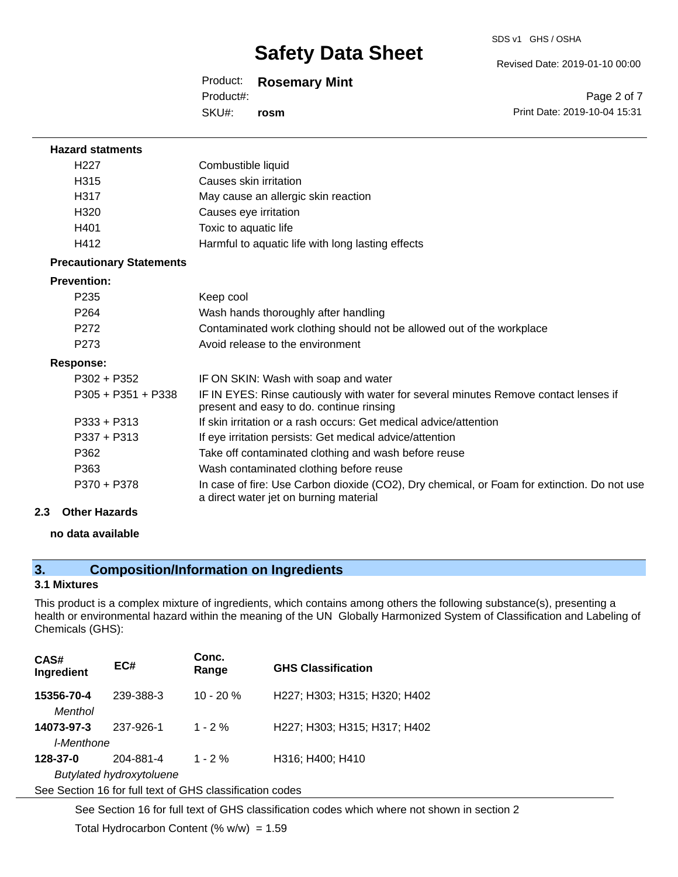#### Revised Date: 2019-01-10 00:00

#### Product: **Rosemary Mint**

SKU#: Product#: **rosm**

Page 2 of 7 Print Date: 2019-10-04 15:31

| <b>Hazard statments</b>         |                                                                                                                                       |
|---------------------------------|---------------------------------------------------------------------------------------------------------------------------------------|
| H <sub>227</sub>                | Combustible liquid                                                                                                                    |
| H315                            | Causes skin irritation                                                                                                                |
| H317                            | May cause an allergic skin reaction                                                                                                   |
| H320                            | Causes eye irritation                                                                                                                 |
| H401                            | Toxic to aquatic life                                                                                                                 |
| H412                            | Harmful to aquatic life with long lasting effects                                                                                     |
| <b>Precautionary Statements</b> |                                                                                                                                       |
| <b>Prevention:</b>              |                                                                                                                                       |
| P <sub>235</sub>                | Keep cool                                                                                                                             |
| P <sub>264</sub>                | Wash hands thoroughly after handling                                                                                                  |
| P272                            | Contaminated work clothing should not be allowed out of the workplace                                                                 |
| P273                            | Avoid release to the environment                                                                                                      |
| Response:                       |                                                                                                                                       |
| $P302 + P352$                   | IF ON SKIN: Wash with soap and water                                                                                                  |
| $P305 + P351 + P338$            | IF IN EYES: Rinse cautiously with water for several minutes Remove contact lenses if<br>present and easy to do. continue rinsing      |
| $P333 + P313$                   | If skin irritation or a rash occurs: Get medical advice/attention                                                                     |
| $P337 + P313$                   | If eye irritation persists: Get medical advice/attention                                                                              |
| P362                            | Take off contaminated clothing and wash before reuse                                                                                  |
| P363                            | Wash contaminated clothing before reuse                                                                                               |
| P370 + P378                     | In case of fire: Use Carbon dioxide (CO2), Dry chemical, or Foam for extinction. Do not use<br>a direct water jet on burning material |
| 2.3<br><b>Other Hazards</b>     |                                                                                                                                       |

#### **no data available**

### **3. Composition/Information on Ingredients**

#### **3.1 Mixtures**

This product is a complex mixture of ingredients, which contains among others the following substance(s), presenting a health or environmental hazard within the meaning of the UN Globally Harmonized System of Classification and Labeling of Chemicals (GHS):

| CAS#<br>Ingredient                                       | EC#       | Conc.<br>Range | <b>GHS Classification</b>    |  |
|----------------------------------------------------------|-----------|----------------|------------------------------|--|
| 15356-70-4<br>Menthol                                    | 239-388-3 | $10 - 20 %$    | H227; H303; H315; H320; H402 |  |
| 14073-97-3                                               | 237-926-1 | $1 - 2%$       | H227; H303; H315; H317; H402 |  |
| I-Menthone                                               |           |                |                              |  |
| 128-37-0                                                 | 204-881-4 | $1 - 2%$       | H316; H400; H410             |  |
| Butylated hydroxytoluene                                 |           |                |                              |  |
| See Section 16 for full text of GHS classification codes |           |                |                              |  |

See Section 16 for full text of GHS classification codes which where not shown in section 2

Total Hydrocarbon Content (%  $w/w$ ) = 1.59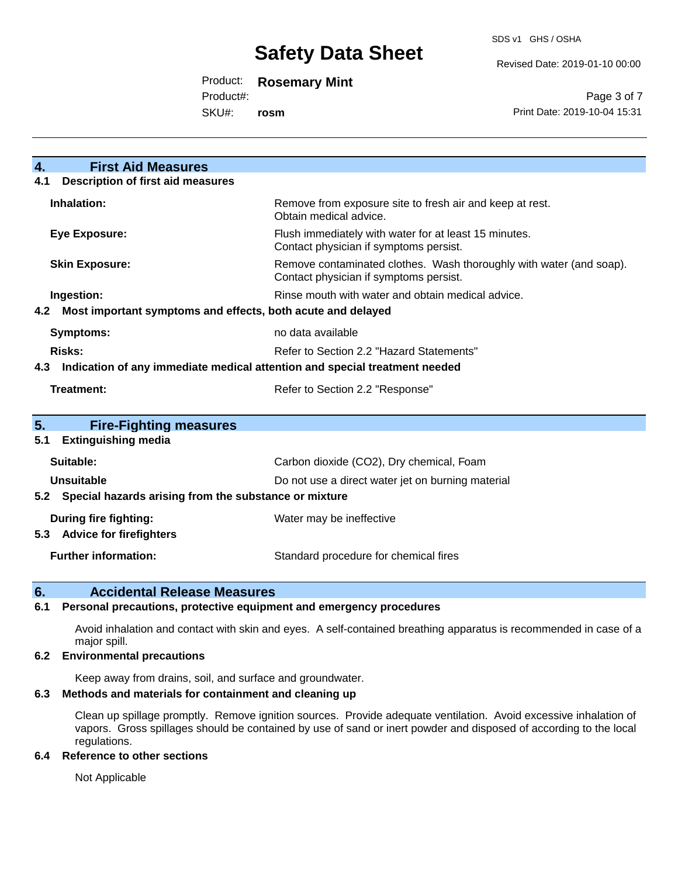#### Revised Date: 2019-01-10 00:00

Product: **Rosemary Mint**

Product#:

SKU#: **rosm**

Page 3 of 7 Print Date: 2019-10-04 15:31

| <b>First Aid Measures</b><br>$\overline{4}$ .                                     |                                                                                                               |  |
|-----------------------------------------------------------------------------------|---------------------------------------------------------------------------------------------------------------|--|
| <b>Description of first aid measures</b><br>4.1                                   |                                                                                                               |  |
| Inhalation:                                                                       | Remove from exposure site to fresh air and keep at rest.<br>Obtain medical advice.                            |  |
| <b>Eye Exposure:</b>                                                              | Flush immediately with water for at least 15 minutes.<br>Contact physician if symptoms persist.               |  |
| <b>Skin Exposure:</b>                                                             | Remove contaminated clothes. Wash thoroughly with water (and soap).<br>Contact physician if symptoms persist. |  |
| Ingestion:                                                                        | Rinse mouth with water and obtain medical advice.                                                             |  |
| 4.2 Most important symptoms and effects, both acute and delayed                   |                                                                                                               |  |
| <b>Symptoms:</b>                                                                  | no data available                                                                                             |  |
| Risks:                                                                            | Refer to Section 2.2 "Hazard Statements"                                                                      |  |
| Indication of any immediate medical attention and special treatment needed<br>4.3 |                                                                                                               |  |
| Treatment:                                                                        | Refer to Section 2.2 "Response"                                                                               |  |
|                                                                                   |                                                                                                               |  |
| 5.<br><b>Fire-Fighting measures</b>                                               |                                                                                                               |  |
| <b>Extinguishing media</b><br>5.1                                                 |                                                                                                               |  |
| Suitable:                                                                         | Carbon dioxide (CO2), Dry chemical, Foam                                                                      |  |
| <b>Unsuitable</b>                                                                 | Do not use a direct water jet on burning material                                                             |  |
| 5.2 Special hazards arising from the substance or mixture                         |                                                                                                               |  |
| During fire fighting:<br><b>Advice for firefighters</b><br>5.3                    | Water may be ineffective                                                                                      |  |
| <b>Further information:</b>                                                       | Standard procedure for chemical fires                                                                         |  |

#### **6. Accidental Release Measures**

#### **6.1 Personal precautions, protective equipment and emergency procedures**

Avoid inhalation and contact with skin and eyes. A self-contained breathing apparatus is recommended in case of a major spill.

#### **6.2 Environmental precautions**

Keep away from drains, soil, and surface and groundwater.

#### **6.3 Methods and materials for containment and cleaning up**

Clean up spillage promptly. Remove ignition sources. Provide adequate ventilation. Avoid excessive inhalation of vapors. Gross spillages should be contained by use of sand or inert powder and disposed of according to the local regulations.

#### **6.4 Reference to other sections**

Not Applicable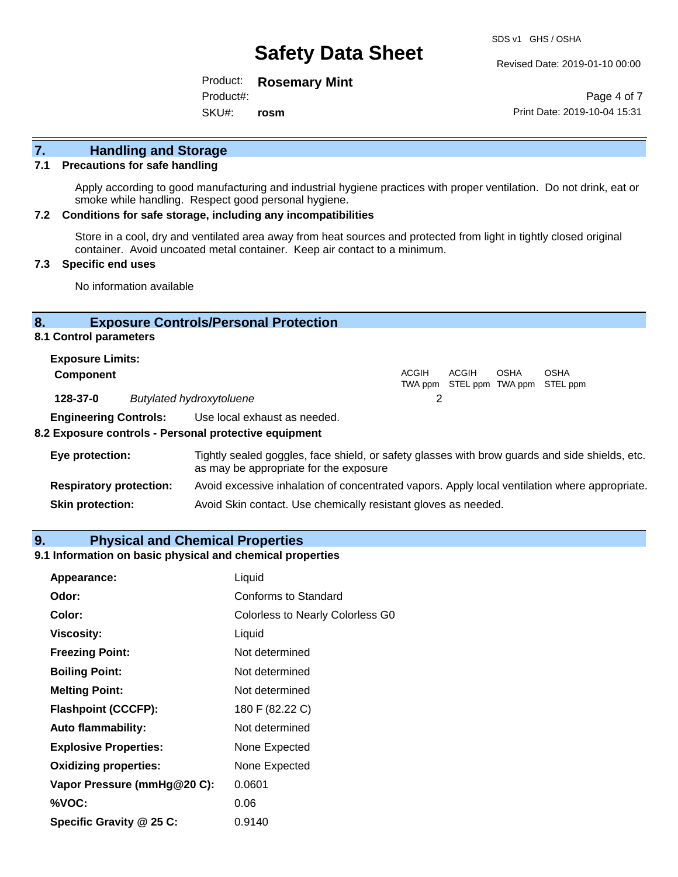Revised Date: 2019-01-10 00:00

Product: **Rosemary Mint**

Product#:

SKU#: **rosm**

Page 4 of 7 Print Date: 2019-10-04 15:31

# **7. Handling and Storage**

#### **7.1 Precautions for safe handling**

Apply according to good manufacturing and industrial hygiene practices with proper ventilation. Do not drink, eat or smoke while handling. Respect good personal hygiene.

#### **7.2 Conditions for safe storage, including any incompatibilities**

Store in a cool, dry and ventilated area away from heat sources and protected from light in tightly closed original container. Avoid uncoated metal container. Keep air contact to a minimum.

#### **7.3 Specific end uses**

No information available

### **8. Exposure Controls/Personal Protection**

#### **8.1 Control parameters**

| <b>Exposure Limits:</b>      |                                 |       |                                            |      |      |
|------------------------------|---------------------------------|-------|--------------------------------------------|------|------|
| <b>Component</b>             |                                 | ACGIH | ACGIH<br>TWA ppm STEL ppm TWA ppm STEL ppm | OSHA | OSHA |
| 128-37-0                     | <b>Butylated hydroxytoluene</b> |       |                                            |      |      |
| <b>Engineering Controls:</b> | Use local exhaust as needed.    |       |                                            |      |      |

### **8.2 Exposure controls - Personal protective equipment**

| Eye protection:                | Tightly sealed goggles, face shield, or safety glasses with brow guards and side shields, etc.<br>as may be appropriate for the exposure |
|--------------------------------|------------------------------------------------------------------------------------------------------------------------------------------|
| <b>Respiratory protection:</b> | Avoid excessive inhalation of concentrated vapors. Apply local ventilation where appropriate.                                            |
| <b>Skin protection:</b>        | Avoid Skin contact. Use chemically resistant gloves as needed.                                                                           |

#### **9. Physical and Chemical Properties**

#### **9.1 Information on basic physical and chemical properties**

| Appearance:                  | Liquid                                  |
|------------------------------|-----------------------------------------|
| Odor:                        | <b>Conforms to Standard</b>             |
| Color:                       | <b>Colorless to Nearly Colorless G0</b> |
| <b>Viscosity:</b>            | Liquid                                  |
| <b>Freezing Point:</b>       | Not determined                          |
| <b>Boiling Point:</b>        | Not determined                          |
| <b>Melting Point:</b>        | Not determined                          |
| <b>Flashpoint (CCCFP):</b>   | 180 F (82.22 C)                         |
| <b>Auto flammability:</b>    | Not determined                          |
| <b>Explosive Properties:</b> | None Expected                           |
| <b>Oxidizing properties:</b> | None Expected                           |
| Vapor Pressure (mmHg@20 C):  | 0.0601                                  |
| %VOC:                        | 0.06                                    |
| Specific Gravity @ 25 C:     | 0.9140                                  |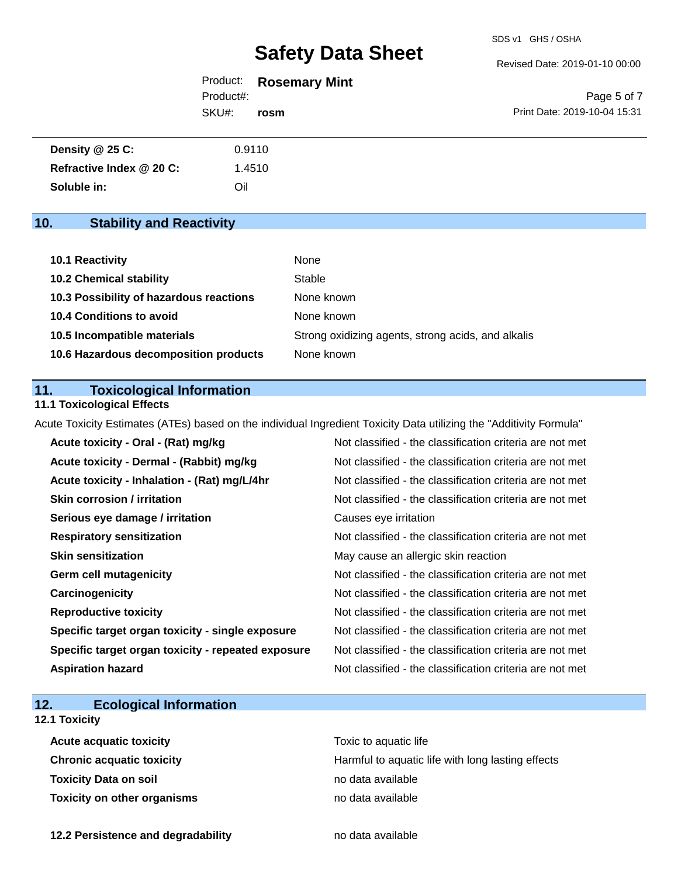#### Revised Date: 2019-01-10 00:00

Product: **Rosemary Mint** Product#:

SKU#: **rosm**

Page 5 of 7 Print Date: 2019-10-04 15:31

| Density @ 25 C:          | 0.9110 |
|--------------------------|--------|
| Refractive Index @ 20 C: | 1.4510 |
| Soluble in:              | Oil    |

# **10. Stability and Reactivity**

| 10.1 Reactivity                         | None                                               |
|-----------------------------------------|----------------------------------------------------|
| <b>10.2 Chemical stability</b>          | Stable                                             |
| 10.3 Possibility of hazardous reactions | None known                                         |
| <b>10.4 Conditions to avoid</b>         | None known                                         |
| 10.5 Incompatible materials             | Strong oxidizing agents, strong acids, and alkalis |
| 10.6 Hazardous decomposition products   | None known                                         |

### **11. Toxicological Information**

#### **11.1 Toxicological Effects**

Acute Toxicity Estimates (ATEs) based on the individual Ingredient Toxicity Data utilizing the "Additivity Formula"

| Acute toxicity - Oral - (Rat) mg/kg                | Not classified - the classification criteria are not met |
|----------------------------------------------------|----------------------------------------------------------|
| Acute toxicity - Dermal - (Rabbit) mg/kg           | Not classified - the classification criteria are not met |
| Acute toxicity - Inhalation - (Rat) mg/L/4hr       | Not classified - the classification criteria are not met |
| <b>Skin corrosion / irritation</b>                 | Not classified - the classification criteria are not met |
| Serious eye damage / irritation                    | Causes eye irritation                                    |
| <b>Respiratory sensitization</b>                   | Not classified - the classification criteria are not met |
| <b>Skin sensitization</b>                          | May cause an allergic skin reaction                      |
| <b>Germ cell mutagenicity</b>                      | Not classified - the classification criteria are not met |
| Carcinogenicity                                    | Not classified - the classification criteria are not met |
| <b>Reproductive toxicity</b>                       | Not classified - the classification criteria are not met |
| Specific target organ toxicity - single exposure   | Not classified - the classification criteria are not met |
| Specific target organ toxicity - repeated exposure | Not classified - the classification criteria are not met |
| <b>Aspiration hazard</b>                           | Not classified - the classification criteria are not met |

# **12. Ecological Information**

### **12.1 Toxicity**

| <b>Acute acquatic toxicity</b> | Toxic to aquatic life                             |
|--------------------------------|---------------------------------------------------|
| Chronic acquatic toxicity      | Harmful to aquatic life with long lasting effects |
| Toxicity Data on soil          | no data available                                 |
| Toxicity on other organisms    | no data available                                 |

**12.2 Persistence and degradability no data available**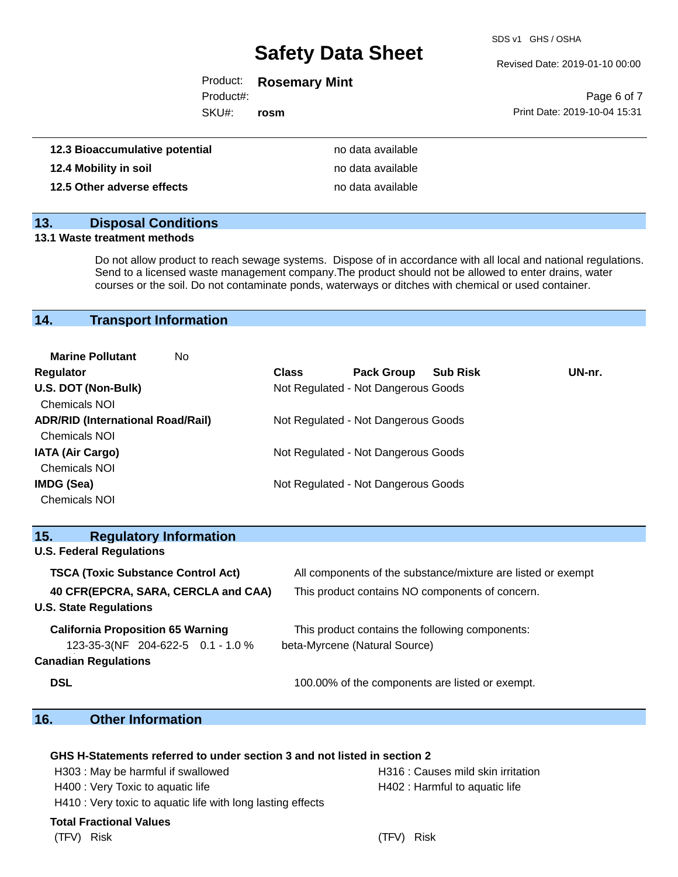SDS v1 GHS / OSHA

Revised Date: 2019-01-10 00:00

Product: **Rosemary Mint**

Product#:

SKU#: **rosm**

|                              | Page 6 of 7 |  |
|------------------------------|-------------|--|
| Print Date: 2019-10-04 15:31 |             |  |

| 12.3 Bioaccumulative potential | no data available |
|--------------------------------|-------------------|
| 12.4 Mobility in soil          | no data available |
| 12.5 Other adverse effects     | no data available |

#### **13. Disposal Conditions**

#### **13.1 Waste treatment methods**

Do not allow product to reach sewage systems. Dispose of in accordance with all local and national regulations. Send to a licensed waste management company.The product should not be allowed to enter drains, water courses or the soil. Do not contaminate ponds, waterways or ditches with chemical or used container.

### **14. Transport Information**

| <b>Marine Pollutant</b><br>No            |              |                                     |                 |        |
|------------------------------------------|--------------|-------------------------------------|-----------------|--------|
| <b>Regulator</b>                         | <b>Class</b> | <b>Pack Group</b>                   | <b>Sub Risk</b> | UN-nr. |
| U.S. DOT (Non-Bulk)                      |              | Not Regulated - Not Dangerous Goods |                 |        |
| <b>Chemicals NOI</b>                     |              |                                     |                 |        |
| <b>ADR/RID (International Road/Rail)</b> |              | Not Regulated - Not Dangerous Goods |                 |        |
| <b>Chemicals NOI</b>                     |              |                                     |                 |        |
| <b>IATA (Air Cargo)</b>                  |              | Not Regulated - Not Dangerous Goods |                 |        |
| Chemicals NOI                            |              |                                     |                 |        |
| IMDG (Sea)                               |              | Not Regulated - Not Dangerous Goods |                 |        |
| <b>Chemicals NOI</b>                     |              |                                     |                 |        |

| 15.<br><b>Regulatory Information</b>      |                                                              |
|-------------------------------------------|--------------------------------------------------------------|
| <b>U.S. Federal Regulations</b>           |                                                              |
| <b>TSCA (Toxic Substance Control Act)</b> | All components of the substance/mixture are listed or exempt |
| 40 CFR(EPCRA, SARA, CERCLA and CAA)       | This product contains NO components of concern.              |
| <b>U.S. State Regulations</b>             |                                                              |
| <b>California Proposition 65 Warning</b>  | This product contains the following components:              |
| 123-35-3(NF 204-622-5 0.1 - 1.0 %         | beta-Myrcene (Natural Source)                                |
| <b>Canadian Regulations</b>               |                                                              |
| <b>DSL</b>                                | 100.00% of the components are listed or exempt.              |

### **16. Other Information**

#### **GHS H-Statements referred to under section 3 and not listed in section 2**

H303 : May be harmful if swallowed **H316** : Causes mild skin irritation

H400 : Very Toxic to aquatic life **H402** : Harmful to aquatic life

H410 : Very toxic to aquatic life with long lasting effects

#### **Total Fractional Values**

(TFV) Risk (TFV) Risk